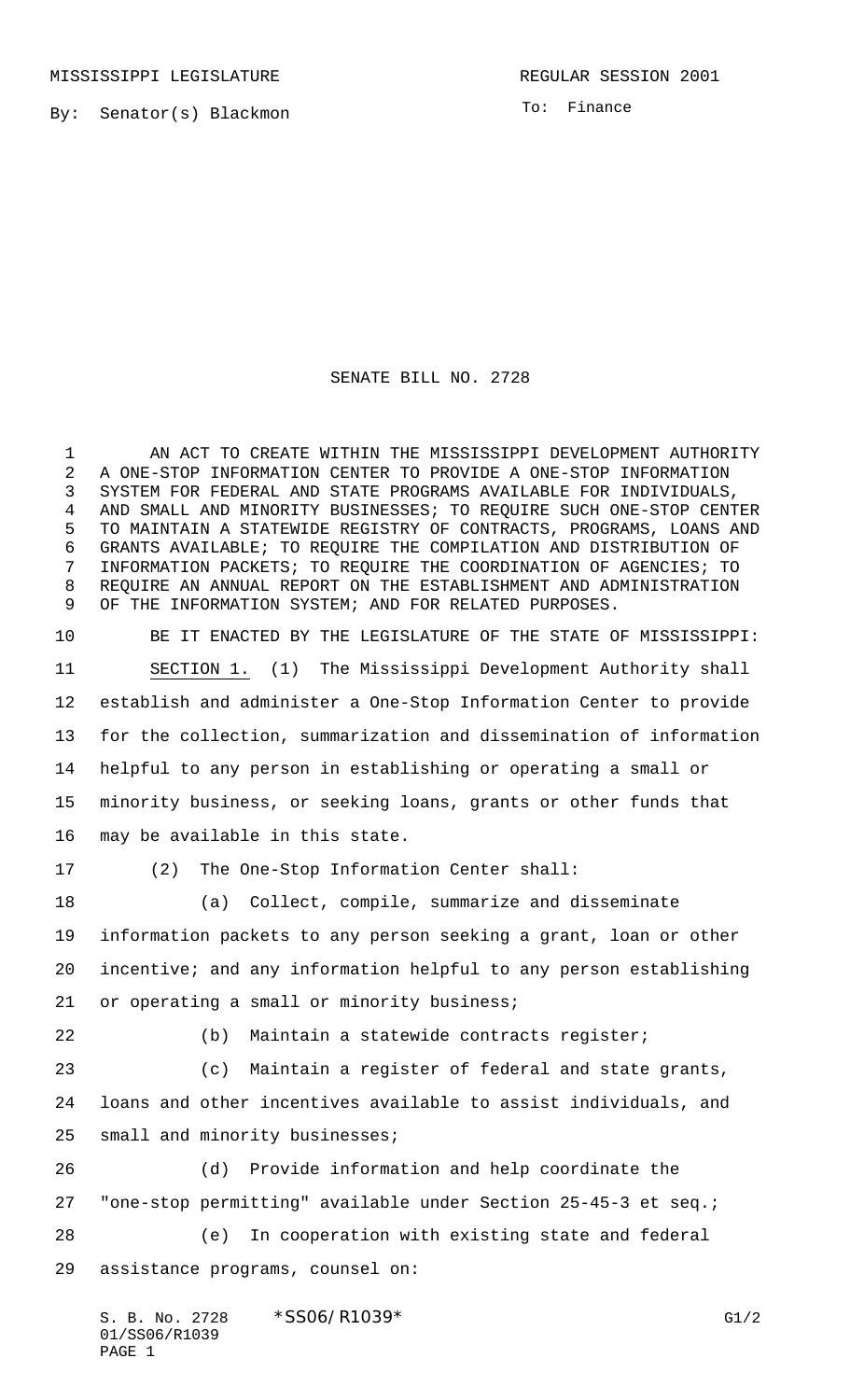MISSISSIPPI LEGISLATURE **REGULAR SESSION 2001** 

By: Senator(s) Blackmon

To: Finance

## SENATE BILL NO. 2728

1 AN ACT TO CREATE WITHIN THE MISSISSIPPI DEVELOPMENT AUTHORITY A ONE-STOP INFORMATION CENTER TO PROVIDE A ONE-STOP INFORMATION SYSTEM FOR FEDERAL AND STATE PROGRAMS AVAILABLE FOR INDIVIDUALS, AND SMALL AND MINORITY BUSINESSES; TO REQUIRE SUCH ONE-STOP CENTER TO MAINTAIN A STATEWIDE REGISTRY OF CONTRACTS, PROGRAMS, LOANS AND GRANTS AVAILABLE; TO REQUIRE THE COMPILATION AND DISTRIBUTION OF INFORMATION PACKETS; TO REQUIRE THE COORDINATION OF AGENCIES; TO REQUIRE AN ANNUAL REPORT ON THE ESTABLISHMENT AND ADMINISTRATION OF THE INFORMATION SYSTEM; AND FOR RELATED PURPOSES.

 BE IT ENACTED BY THE LEGISLATURE OF THE STATE OF MISSISSIPPI: SECTION 1. (1) The Mississippi Development Authority shall establish and administer a One-Stop Information Center to provide for the collection, summarization and dissemination of information helpful to any person in establishing or operating a small or minority business, or seeking loans, grants or other funds that may be available in this state.

(2) The One-Stop Information Center shall:

 (a) Collect, compile, summarize and disseminate information packets to any person seeking a grant, loan or other incentive; and any information helpful to any person establishing 21 or operating a small or minority business;

(b) Maintain a statewide contracts register;

 (c) Maintain a register of federal and state grants, loans and other incentives available to assist individuals, and small and minority businesses;

 (d) Provide information and help coordinate the "one-stop permitting" available under Section 25-45-3 et seq.;

 (e) In cooperation with existing state and federal assistance programs, counsel on: